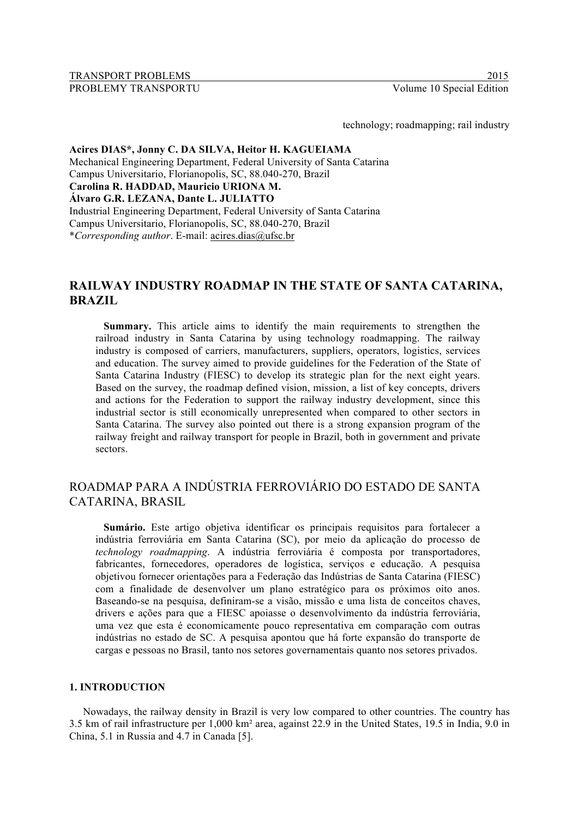technology; roadmapping; rail industry

#### **Acires DIAS\*, Jonny C. DA SILVA, Heitor H. KAGUEIAMA** Mechanical Engineering Department, Federal University of Santa Catarina Campus Universitario, Florianopolis, SC, 88.040-270, Brazil **Carolina R. HADDAD, Mauricio URIONA M. Álvaro G.R. LEZANA, Dante L. JULIATTO** Industrial Engineering Department, Federal University of Santa Catarina Campus Universitario, Florianopolis, SC, 88.040-270, Brazil \**Corresponding author*. E-mail: acires.dias@ufsc.br

# **RAILWAY INDUSTRY ROADMAP IN THE STATE OF SANTA CATARINA, BRAZIL**

**Summary.** This article aims to identify the main requirements to strengthen the railroad industry in Santa Catarina by using technology roadmapping. The railway industry is composed of carriers, manufacturers, suppliers, operators, logistics, services and education. The survey aimed to provide guidelines for the Federation of the State of Santa Catarina Industry (FIESC) to develop its strategic plan for the next eight years. Based on the survey, the roadmap defined vision, mission, a list of key concepts, drivers and actions for the Federation to support the railway industry development, since this industrial sector is still economically unrepresented when compared to other sectors in Santa Catarina. The survey also pointed out there is a strong expansion program of the railway freight and railway transport for people in Brazil, both in government and private sectors.

# ROADMAP PARA A INDÚSTRIA FERROVIÁRIO DO ESTADO DE SANTA CATARINA, BRASIL

**Sumário.** Este artigo objetiva identificar os principais requisitos para fortalecer a indústria ferroviária em Santa Catarina (SC), por meio da aplicação do processo de *technology roadmapping*. A indústria ferroviária é composta por transportadores, fabricantes, fornecedores, operadores de logística, serviços e educação. A pesquisa objetivou fornecer orientações para a Federação das Indústrias de Santa Catarina (FIESC) com a finalidade de desenvolver um plano estratégico para os próximos oito anos. Baseando-se na pesquisa, definiram-se a visão, missão e uma lista de conceitos chaves, drivers e ações para que a FIESC apoiasse o desenvolvimento da indústria ferroviária, uma vez que esta é economicamente pouco representativa em comparação com outras indústrias no estado de SC. A pesquisa apontou que há forte expansão do transporte de cargas e pessoas no Brasil, tanto nos setores governamentais quanto nos setores privados.

#### **1. INTRODUCTION**

Nowadays, the railway density in Brazil is very low compared to other countries. The country has 3.5 km of rail infrastructure per 1,000 km² area, against 22.9 in the United States, 19.5 in India, 9.0 in China, 5.1 in Russia and 4.7 in Canada [5].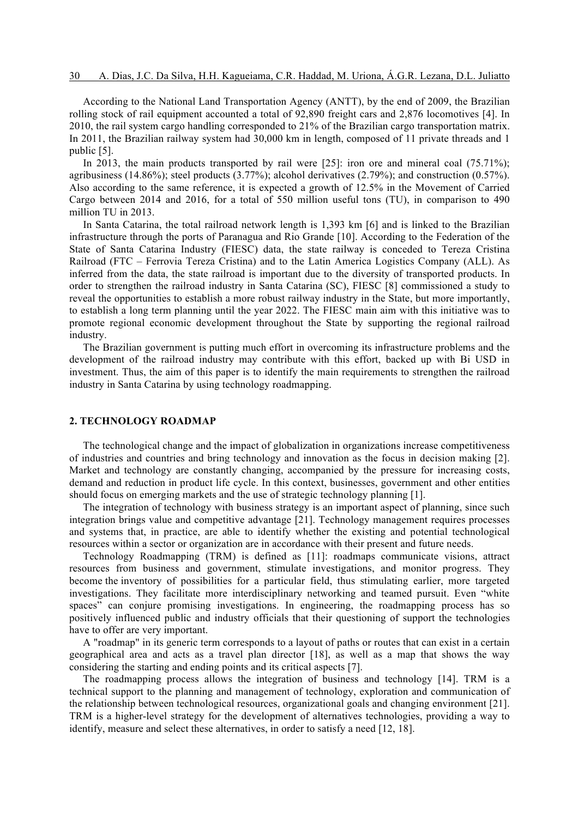According to the National Land Transportation Agency (ANTT), by the end of 2009, the Brazilian rolling stock of rail equipment accounted a total of 92,890 freight cars and 2,876 locomotives [4]. In 2010, the rail system cargo handling corresponded to 21% of the Brazilian cargo transportation matrix. In 2011, the Brazilian railway system had 30,000 km in length, composed of 11 private threads and 1 public [5].

In 2013, the main products transported by rail were [25]: iron ore and mineral coal (75.71%); agribusiness (14.86%); steel products (3.77%); alcohol derivatives (2.79%); and construction (0.57%). Also according to the same reference, it is expected a growth of 12.5% in the Movement of Carried Cargo between 2014 and 2016, for a total of 550 million useful tons (TU), in comparison to 490 million TU in 2013.

In Santa Catarina, the total railroad network length is 1,393 km [6] and is linked to the Brazilian infrastructure through the ports of Paranagua and Rio Grande [10]. According to the Federation of the State of Santa Catarina Industry (FIESC) data, the state railway is conceded to Tereza Cristina Railroad (FTC – Ferrovia Tereza Cristina) and to the Latin America Logistics Company (ALL). As inferred from the data, the state railroad is important due to the diversity of transported products. In order to strengthen the railroad industry in Santa Catarina (SC), FIESC [8] commissioned a study to reveal the opportunities to establish a more robust railway industry in the State, but more importantly, to establish a long term planning until the year 2022. The FIESC main aim with this initiative was to promote regional economic development throughout the State by supporting the regional railroad industry.

The Brazilian government is putting much effort in overcoming its infrastructure problems and the development of the railroad industry may contribute with this effort, backed up with Bi USD in investment. Thus, the aim of this paper is to identify the main requirements to strengthen the railroad industry in Santa Catarina by using technology roadmapping.

## **2. TECHNOLOGY ROADMAP**

The technological change and the impact of globalization in organizations increase competitiveness of industries and countries and bring technology and innovation as the focus in decision making [2]. Market and technology are constantly changing, accompanied by the pressure for increasing costs, demand and reduction in product life cycle. In this context, businesses, government and other entities should focus on emerging markets and the use of strategic technology planning [1].

The integration of technology with business strategy is an important aspect of planning, since such integration brings value and competitive advantage [21]. Technology management requires processes and systems that, in practice, are able to identify whether the existing and potential technological resources within a sector or organization are in accordance with their present and future needs.

Technology Roadmapping (TRM) is defined as [11]: roadmaps communicate visions, attract resources from business and government, stimulate investigations, and monitor progress. They become the inventory of possibilities for a particular field, thus stimulating earlier, more targeted investigations. They facilitate more interdisciplinary networking and teamed pursuit. Even "white spaces" can conjure promising investigations. In engineering, the roadmapping process has so positively influenced public and industry officials that their questioning of support the technologies have to offer are very important.

A "roadmap" in its generic term corresponds to a layout of paths or routes that can exist in a certain geographical area and acts as a travel plan director [18], as well as a map that shows the way considering the starting and ending points and its critical aspects [7].

The roadmapping process allows the integration of business and technology [14]. TRM is a technical support to the planning and management of technology, exploration and communication of the relationship between technological resources, organizational goals and changing environment [21]. TRM is a higher-level strategy for the development of alternatives technologies, providing a way to identify, measure and select these alternatives, in order to satisfy a need [12, 18].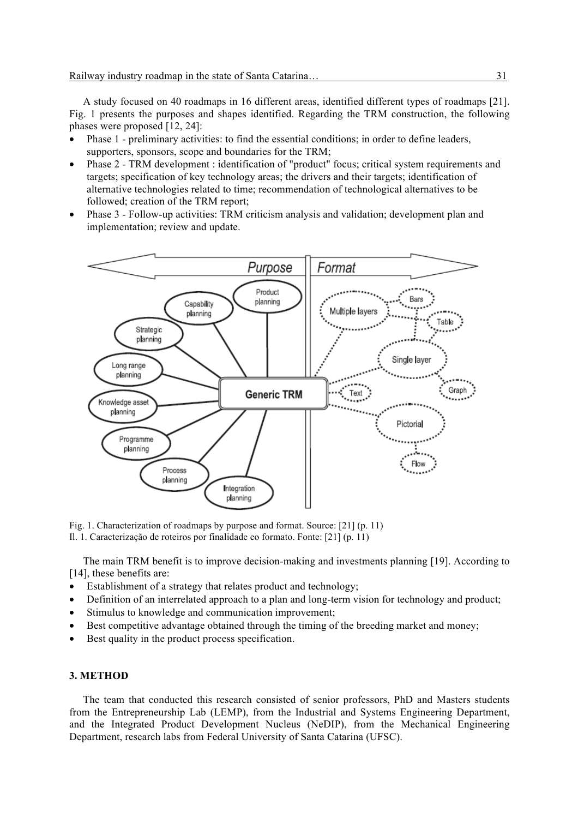A study focused on 40 roadmaps in 16 different areas, identified different types of roadmaps [21]. Fig. 1 presents the purposes and shapes identified. Regarding the TRM construction, the following phases were proposed [12, 24]:

- Phase 1 preliminary activities: to find the essential conditions; in order to define leaders, supporters, sponsors, scope and boundaries for the TRM;
- Phase 2 TRM development : identification of "product" focus; critical system requirements and targets; specification of key technology areas; the drivers and their targets; identification of alternative technologies related to time; recommendation of technological alternatives to be followed; creation of the TRM report;
- Phase 3 Follow-up activities: TRM criticism analysis and validation; development plan and implementation; review and update.



Fig. 1. Characterization of roadmaps by purpose and format. Source: [21] (p. 11)

Il. 1. Caracterização de roteiros por finalidade eo formato. Fonte: [21] (p. 11)

The main TRM benefit is to improve decision-making and investments planning [19]. According to [14], these benefits are:

- Establishment of a strategy that relates product and technology;
- Definition of an interrelated approach to a plan and long-term vision for technology and product;
- Stimulus to knowledge and communication improvement:
- Best competitive advantage obtained through the timing of the breeding market and money:
- Best quality in the product process specification.

## **3. METHOD**

The team that conducted this research consisted of senior professors, PhD and Masters students from the Entrepreneurship Lab (LEMP), from the Industrial and Systems Engineering Department, and the Integrated Product Development Nucleus (NeDIP), from the Mechanical Engineering Department, research labs from Federal University of Santa Catarina (UFSC).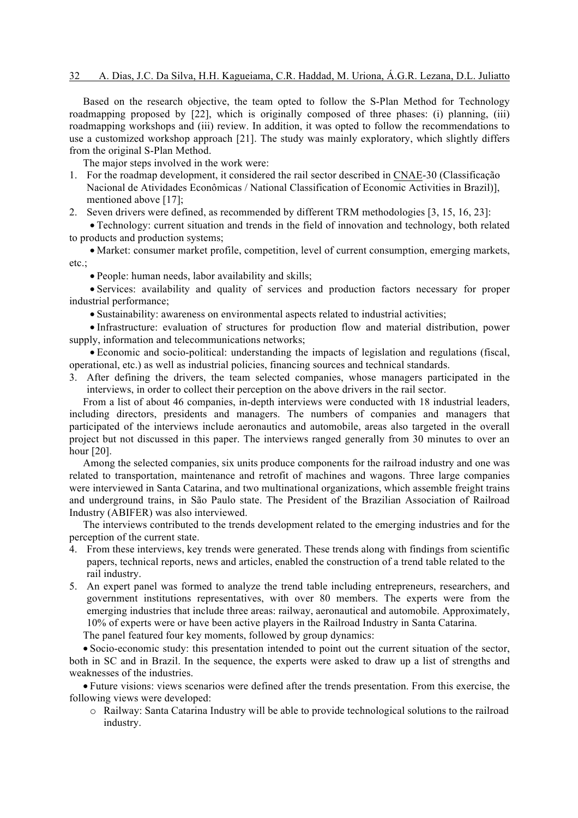#### 32 A. Dias, J.C. Da Silva, H.H. Kagueiama, C.R. Haddad, M. Uriona, Á.G.R. Lezana, D.L. Juliatto

Based on the research objective, the team opted to follow the S-Plan Method for Technology roadmapping proposed by [22], which is originally composed of three phases: (i) planning, (iii) roadmapping workshops and (iii) review. In addition, it was opted to follow the recommendations to use a customized workshop approach [21]. The study was mainly exploratory, which slightly differs from the original S-Plan Method.

The major steps involved in the work were:

- 1. For the roadmap development, it considered the rail sector described in CNAE-30 (Classificação Nacional de Atividades Econômicas / National Classification of Economic Activities in Brazil)], mentioned above [17];
- 2. Seven drivers were defined, as recommended by different TRM methodologies [3, 15, 16, 23]:
- Technology: current situation and trends in the field of innovation and technology, both related to products and production systems;

• Market: consumer market profile, competition, level of current consumption, emerging markets, etc.;

• People: human needs, labor availability and skills;

• Services: availability and quality of services and production factors necessary for proper industrial performance;

• Sustainability: awareness on environmental aspects related to industrial activities;

• Infrastructure: evaluation of structures for production flow and material distribution, power supply, information and telecommunications networks;

• Economic and socio-political: understanding the impacts of legislation and regulations (fiscal, operational, etc.) as well as industrial policies, financing sources and technical standards.

3. After defining the drivers, the team selected companies, whose managers participated in the interviews, in order to collect their perception on the above drivers in the rail sector.

From a list of about 46 companies, in-depth interviews were conducted with 18 industrial leaders, including directors, presidents and managers. The numbers of companies and managers that participated of the interviews include aeronautics and automobile, areas also targeted in the overall project but not discussed in this paper. The interviews ranged generally from 30 minutes to over an hour [20].

Among the selected companies, six units produce components for the railroad industry and one was related to transportation, maintenance and retrofit of machines and wagons. Three large companies were interviewed in Santa Catarina, and two multinational organizations, which assemble freight trains and underground trains, in São Paulo state. The President of the Brazilian Association of Railroad Industry (ABIFER) was also interviewed.

The interviews contributed to the trends development related to the emerging industries and for the perception of the current state.

- 4. From these interviews, key trends were generated. These trends along with findings from scientific papers, technical reports, news and articles, enabled the construction of a trend table related to the rail industry.
- 5. An expert panel was formed to analyze the trend table including entrepreneurs, researchers, and government institutions representatives, with over 80 members. The experts were from the emerging industries that include three areas: railway, aeronautical and automobile. Approximately, 10% of experts were or have been active players in the Railroad Industry in Santa Catarina.

The panel featured four key moments, followed by group dynamics:

• Socio-economic study: this presentation intended to point out the current situation of the sector, both in SC and in Brazil. In the sequence, the experts were asked to draw up a list of strengths and weaknesses of the industries.

• Future visions: views scenarios were defined after the trends presentation. From this exercise, the following views were developed:

o Railway: Santa Catarina Industry will be able to provide technological solutions to the railroad industry.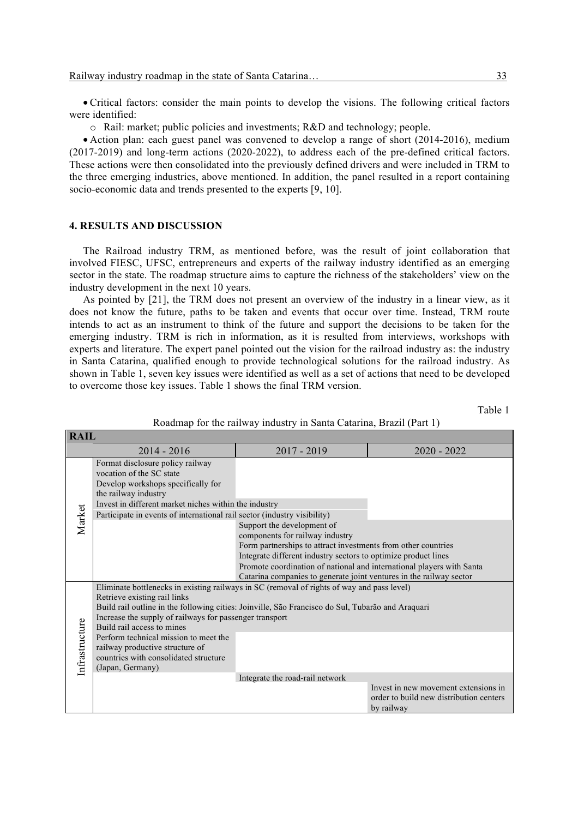• Critical factors: consider the main points to develop the visions. The following critical factors were identified:

o Rail: market; public policies and investments; R&D and technology; people.

• Action plan: each guest panel was convened to develop a range of short (2014-2016), medium (2017-2019) and long-term actions (2020-2022), to address each of the pre-defined critical factors. These actions were then consolidated into the previously defined drivers and were included in TRM to the three emerging industries, above mentioned. In addition, the panel resulted in a report containing socio-economic data and trends presented to the experts [9, 10].

#### **4. RESULTS AND DISCUSSION**

**RAIL**

The Railroad industry TRM, as mentioned before, was the result of joint collaboration that involved FIESC, UFSC, entrepreneurs and experts of the railway industry identified as an emerging sector in the state. The roadmap structure aims to capture the richness of the stakeholders' view on the industry development in the next 10 years.

As pointed by [21], the TRM does not present an overview of the industry in a linear view, as it does not know the future, paths to be taken and events that occur over time. Instead, TRM route intends to act as an instrument to think of the future and support the decisions to be taken for the emerging industry. TRM is rich in information, as it is resulted from interviews, workshops with experts and literature. The expert panel pointed out the vision for the railroad industry as: the industry in Santa Catarina, qualified enough to provide technological solutions for the railroad industry. As shown in Table 1, seven key issues were identified as well as a set of actions that need to be developed to overcome those key issues. Table 1 shows the final TRM version.

Table 1

| INAIL          |                                                                                                                                                                                                                                                                                                                                                                                                                                                                   |                                                                                                                                                                                                                                                                                                                                                  |                                                                                               |  |  |  |
|----------------|-------------------------------------------------------------------------------------------------------------------------------------------------------------------------------------------------------------------------------------------------------------------------------------------------------------------------------------------------------------------------------------------------------------------------------------------------------------------|--------------------------------------------------------------------------------------------------------------------------------------------------------------------------------------------------------------------------------------------------------------------------------------------------------------------------------------------------|-----------------------------------------------------------------------------------------------|--|--|--|
|                | $2014 - 2016$                                                                                                                                                                                                                                                                                                                                                                                                                                                     | $2017 - 2019$                                                                                                                                                                                                                                                                                                                                    | $2020 - 2022$                                                                                 |  |  |  |
| Market         | Format disclosure policy railway<br>vocation of the SC state<br>Develop workshops specifically for<br>the railway industry<br>Invest in different market niches within the industry<br>Participate in events of international rail sector (industry visibility)                                                                                                                                                                                                   |                                                                                                                                                                                                                                                                                                                                                  |                                                                                               |  |  |  |
|                |                                                                                                                                                                                                                                                                                                                                                                                                                                                                   | Support the development of<br>components for railway industry<br>Form partnerships to attract investments from other countries<br>Integrate different industry sectors to optimize product lines<br>Promote coordination of national and international players with Santa<br>Catarina companies to generate joint ventures in the railway sector |                                                                                               |  |  |  |
| Infrastructure | Eliminate bottlenecks in existing railways in SC (removal of rights of way and pass level)<br>Retrieve existing rail links<br>Build rail outline in the following cities: Joinville, São Francisco do Sul, Tubarão and Araquari<br>Increase the supply of railways for passenger transport<br>Build rail access to mines<br>Perform technical mission to meet the<br>railway productive structure of<br>countries with consolidated structure<br>(Japan, Germany) |                                                                                                                                                                                                                                                                                                                                                  |                                                                                               |  |  |  |
|                |                                                                                                                                                                                                                                                                                                                                                                                                                                                                   | Integrate the road-rail network                                                                                                                                                                                                                                                                                                                  |                                                                                               |  |  |  |
|                |                                                                                                                                                                                                                                                                                                                                                                                                                                                                   |                                                                                                                                                                                                                                                                                                                                                  | Invest in new movement extensions in<br>order to build new distribution centers<br>by railway |  |  |  |

Roadmap for the railway industry in Santa Catarina, Brazil (Part 1)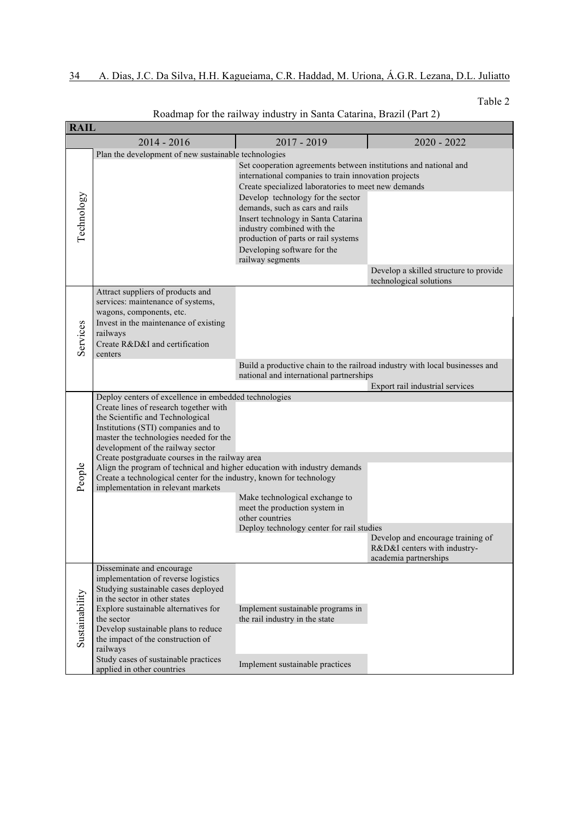# 34 A. Dias, J.C. Da Silva, H.H. Kagueiama, C.R. Haddad, M. Uriona, Á.G.R. Lezana, D.L. Juliatto

Table 2

| <b>RAIL</b>    |                                                                                                                                                                                                                                                                                                                                |                                                                                                                                                                                                                                     |                                                                                                                |  |  |  |
|----------------|--------------------------------------------------------------------------------------------------------------------------------------------------------------------------------------------------------------------------------------------------------------------------------------------------------------------------------|-------------------------------------------------------------------------------------------------------------------------------------------------------------------------------------------------------------------------------------|----------------------------------------------------------------------------------------------------------------|--|--|--|
|                | $2014 - 2016$                                                                                                                                                                                                                                                                                                                  | $2017 - 2019$                                                                                                                                                                                                                       | $2020 - 2022$                                                                                                  |  |  |  |
|                | Plan the development of new sustainable technologies                                                                                                                                                                                                                                                                           | Set cooperation agreements between institutions and national and<br>international companies to train innovation projects<br>Create specialized laboratories to meet new demands                                                     |                                                                                                                |  |  |  |
| Technology     |                                                                                                                                                                                                                                                                                                                                | Develop technology for the sector<br>demands, such as cars and rails<br>Insert technology in Santa Catarina<br>industry combined with the<br>production of parts or rail systems<br>Developing software for the<br>railway segments | Develop a skilled structure to provide                                                                         |  |  |  |
|                |                                                                                                                                                                                                                                                                                                                                |                                                                                                                                                                                                                                     | technological solutions                                                                                        |  |  |  |
| Services       | Attract suppliers of products and<br>services: maintenance of systems,<br>wagons, components, etc.<br>Invest in the maintenance of existing<br>railways<br>Create R&D&I and certification<br>centers                                                                                                                           |                                                                                                                                                                                                                                     |                                                                                                                |  |  |  |
|                |                                                                                                                                                                                                                                                                                                                                | national and international partnerships                                                                                                                                                                                             | Build a productive chain to the railroad industry with local businesses and<br>Export rail industrial services |  |  |  |
|                | Deploy centers of excellence in embedded technologies                                                                                                                                                                                                                                                                          |                                                                                                                                                                                                                                     |                                                                                                                |  |  |  |
|                | Create lines of research together with<br>the Scientific and Technological<br>Institutions (STI) companies and to<br>master the technologies needed for the<br>development of the railway sector                                                                                                                               |                                                                                                                                                                                                                                     |                                                                                                                |  |  |  |
|                | Create postgraduate courses in the railway area<br>Align the program of technical and higher education with industry demands                                                                                                                                                                                                   |                                                                                                                                                                                                                                     |                                                                                                                |  |  |  |
| People         | Create a technological center for the industry, known for technology                                                                                                                                                                                                                                                           |                                                                                                                                                                                                                                     |                                                                                                                |  |  |  |
|                | implementation in relevant markets                                                                                                                                                                                                                                                                                             | Make technological exchange to<br>meet the production system in<br>other countries                                                                                                                                                  |                                                                                                                |  |  |  |
|                |                                                                                                                                                                                                                                                                                                                                | Deploy technology center for rail studies                                                                                                                                                                                           | Develop and encourage training of<br>R&D&I centers with industry-<br>academia partnerships                     |  |  |  |
| Sustainability | Disseminate and encourage<br>implementation of reverse logistics<br>Studying sustainable cases deployed<br>in the sector in other states<br>Explore sustainable alternatives for<br>the sector<br>Develop sustainable plans to reduce<br>the impact of the construction of<br>railways<br>Study cases of sustainable practices | Implement sustainable programs in<br>the rail industry in the state                                                                                                                                                                 |                                                                                                                |  |  |  |
|                | applied in other countries                                                                                                                                                                                                                                                                                                     | Implement sustainable practices                                                                                                                                                                                                     |                                                                                                                |  |  |  |

Roadmap for the railway industry in Santa Catarina, Brazil (Part 2)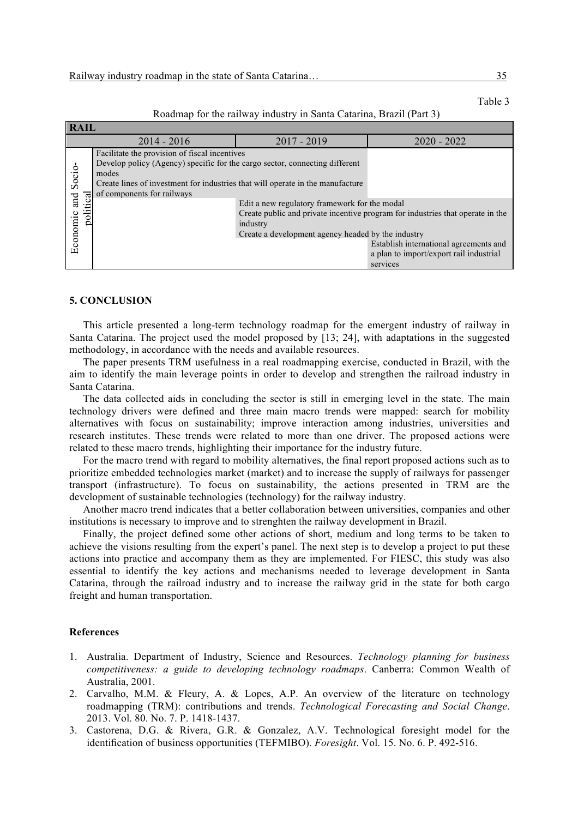| <b>RAIL</b>                                         |                                                                                |                                                                                |                                         |  |  |  |
|-----------------------------------------------------|--------------------------------------------------------------------------------|--------------------------------------------------------------------------------|-----------------------------------------|--|--|--|
|                                                     | $2014 - 2016$                                                                  | $2017 - 2019$                                                                  | $2020 - 2022$                           |  |  |  |
| Socio-<br>$_{\rm gal}$<br>and<br>politi<br>Economic | Facilitate the provision of fiscal incentives                                  |                                                                                |                                         |  |  |  |
|                                                     | Develop policy (Agency) specific for the cargo sector, connecting different    |                                                                                |                                         |  |  |  |
|                                                     | modes                                                                          |                                                                                |                                         |  |  |  |
|                                                     | Create lines of investment for industries that will operate in the manufacture |                                                                                |                                         |  |  |  |
|                                                     | of components for railways                                                     |                                                                                |                                         |  |  |  |
|                                                     |                                                                                | Edit a new regulatory framework for the modal                                  |                                         |  |  |  |
|                                                     |                                                                                | Create public and private incentive program for industries that operate in the |                                         |  |  |  |
|                                                     |                                                                                | industry                                                                       |                                         |  |  |  |
|                                                     |                                                                                | Create a development agency headed by the industry                             |                                         |  |  |  |
|                                                     |                                                                                |                                                                                | Establish international agreements and  |  |  |  |
|                                                     |                                                                                |                                                                                | a plan to import/export rail industrial |  |  |  |
|                                                     |                                                                                |                                                                                | services                                |  |  |  |

Roadmap for the railway industry in Santa Catarina, Brazil (Part 3)

#### **5. CONCLUSION**

This article presented a long-term technology roadmap for the emergent industry of railway in Santa Catarina. The project used the model proposed by [13; 24], with adaptations in the suggested methodology, in accordance with the needs and available resources.

The paper presents TRM usefulness in a real roadmapping exercise, conducted in Brazil, with the aim to identify the main leverage points in order to develop and strengthen the railroad industry in Santa Catarina.

The data collected aids in concluding the sector is still in emerging level in the state. The main technology drivers were defined and three main macro trends were mapped: search for mobility alternatives with focus on sustainability; improve interaction among industries, universities and research institutes. These trends were related to more than one driver. The proposed actions were related to these macro trends, highlighting their importance for the industry future.

For the macro trend with regard to mobility alternatives, the final report proposed actions such as to prioritize embedded technologies market (market) and to increase the supply of railways for passenger transport (infrastructure). To focus on sustainability, the actions presented in TRM are the development of sustainable technologies (technology) for the railway industry.

Another macro trend indicates that a better collaboration between universities, companies and other institutions is necessary to improve and to strenghten the railway development in Brazil.

Finally, the project defined some other actions of short, medium and long terms to be taken to achieve the visions resulting from the expert's panel. The next step is to develop a project to put these actions into practice and accompany them as they are implemented. For FIESC, this study was also essential to identify the key actions and mechanisms needed to leverage development in Santa Catarina, through the railroad industry and to increase the railway grid in the state for both cargo freight and human transportation.

#### **References**

- 1. Australia. Department of Industry, Science and Resources. *Technology planning for business competitiveness: a guide to developing technology roadmaps*. Canberra: Common Wealth of Australia, 2001.
- 2. Carvalho, M.M. & Fleury, A. & Lopes, A.P. An overview of the literature on technology roadmapping (TRM): contributions and trends. *Technological Forecasting and Social Change*. 2013. Vol. 80. No. 7. P. 1418-1437.
- 3. Castorena, D.G. & Rivera, G.R. & Gonzalez, A.V. Technological foresight model for the identification of business opportunities (TEFMIBO). *Foresight*. Vol. 15. No. 6. P. 492-516.

Table 3